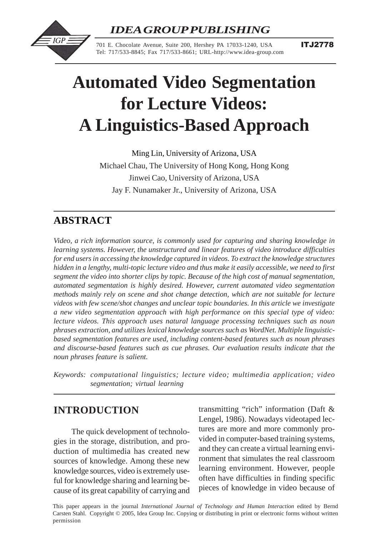International Journal of Technology and Human Interaction, 1(2), 27-45, April-June 2005 27 *IDEA GROUP PUBLISHING*



701 E. Chocolate Avenue, Suite 200, Hershey PA 17033-1240, USA Tel: 717/533-8845; Fax 717/533-8661; URL-http://www.idea-group.com

# **Automated Video Segmentation for Lecture Videos: A Linguistics-Based Approach**

Ming Lin, University of Arizona, USA Michael Chau, The University of Hong Kong, Hong Kong Jinwei Cao, University of Arizona, USA Jay F. Nunamaker Jr., University of Arizona, USA

# **ABSTRACT**

*Video, a rich information source, is commonly used for capturing and sharing knowledge in learning systems. However, the unstructured and linear features of video introduce difficulties for end users in accessing the knowledge captured in videos. To extract the knowledge structures hidden in a lengthy, multi-topic lecture video and thus make it easily accessible, we need to first segment the video into shorter clips by topic. Because of the high cost of manual segmentation, automated segmentation is highly desired. However, current automated video segmentation methods mainly rely on scene and shot change detection, which are not suitable for lecture videos with few scene/shot changes and unclear topic boundaries. In this article we investigate a new video segmentation approach with high performance on this special type of video: lecture videos. This approach uses natural language processing techniques such as noun phrases extraction, and utilizes lexical knowledge sources such as WordNet. Multiple linguisticbased segmentation features are used, including content-based features such as noun phrases and discourse-based features such as cue phrases. Our evaluation results indicate that the noun phrases feature is salient.*

*Keywords: computational linguistics; lecture video; multimedia application; video segmentation; virtual learning*

# **INTRODUCTION**

The quick development of technologies in the storage, distribution, and production of multimedia has created new sources of knowledge. Among these new knowledge sources, video is extremely useful for knowledge sharing and learning because of its great capability of carrying and transmitting "rich" information (Daft & Lengel, 1986). Nowadays videotaped lectures are more and more commonly provided in computer-based training systems, and they can create a virtual learning environment that simulates the real classroom learning environment. However, people often have difficulties in finding specific pieces of knowledge in video because of

 $\Gamma$  2005, Inc. Copyright  $\Gamma$  2006, Idea Group Inc. Copying or distribution or distribution or distribution or  $\Gamma$  2006, Idea Group Inc.  $\Gamma$ Carsten Stahl. Copyright © 2005, Idea Group Inc. Copying or distributing in print or electronic forms without written This paper appears in the journal *International Journal of Technology and Human Interaction* edited by Bernd permission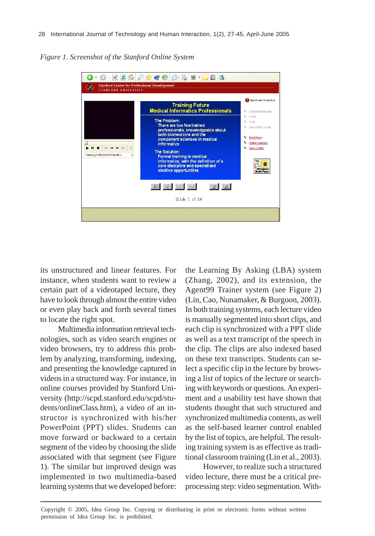*Figure 1. Screenshot of the Stanford Online System*



its unstructured and linear features. For instance, when students want to review a certain part of a videotaped lecture, they have to look through almost the entire video or even play back and forth several times to locate the right spot.

Multimedia information retrieval technologies, such as video search engines or video browsers, try to address this problem by analyzing, transforming, indexing, and presenting the knowledge captured in videos in a structured way. For instance, in online courses provided by Stanford University (http://scpd.stanford.edu/scpd/students/onlineClass.htm), a video of an instructor is synchronized with his/her PowerPoint (PPT) slides. Students can move forward or backward to a certain segment of the video by choosing the slide associated with that segment (see Figure 1). The similar but improved design was implemented in two multimedia-based learning systems that we developed before:

the Learning By Asking (LBA) system (Zhang, 2002), and its extension, the Agent99 Trainer system (see Figure 2) (Lin, Cao, Nunamaker, & Burgoon, 2003). In both training systems, each lecture video is manually segmented into short clips, and each clip is synchronized with a PPT slide as well as a text transcript of the speech in the clip. The clips are also indexed based on these text transcripts. Students can select a specific clip in the lecture by browsing a list of topics of the lecture or searching with keywords or questions. An experiment and a usability test have shown that students thought that such structured and synchronized multimedia contents, as well as the self-based learner control enabled by the list of topics, are helpful. The resulting training system is as effective as traditional classroom training (Lin et al., 2003).

However, to realize such a structured video lecture, there must be a critical preprocessing step: video segmentation. With-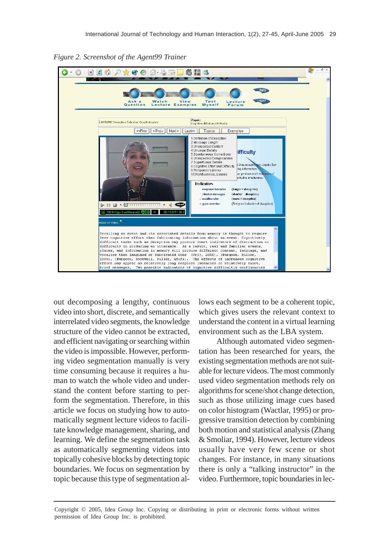

*Figure 2. Screenshot of the Agent99 Trainer*

out decomposing a lengthy, continuous video into short, discrete, and semantically interrelated video segments, the knowledge structure of the video cannot be extracted, and efficient navigating or searching within the video is impossible. However, performing video segmentation manually is very time consuming because it requires a human to watch the whole video and understand the content before starting to perform the segmentation. Therefore, in this article we focus on studying how to automatically segment lecture videos to facilitate knowledge management, sharing, and learning. We define the segmentation task as automatically segmenting videos into topically cohesive blocks by detecting topic boundaries. We focus on segmentation by topic because this type of segmentation allows each segment to be a coherent topic, which gives users the relevant context to understand the content in a virtual learning environment such as the LBA system.

Although automated video segmentation has been researched for years, the existing segmentation methods are not suitable for lecture videos. The most commonly used video segmentation methods rely on algorithms for scene/shot change detection, such as those utilizing image cues based on color histogram (Wactlar, 1995) or progressive transition detection by combining both motion and statistical analysis (Zhang & Smoliar, 1994). However, lecture videos usually have very few scene or shot changes. For instance, in many situations there is only a "talking instructor" in the video. Furthermore, topic boundaries in lec-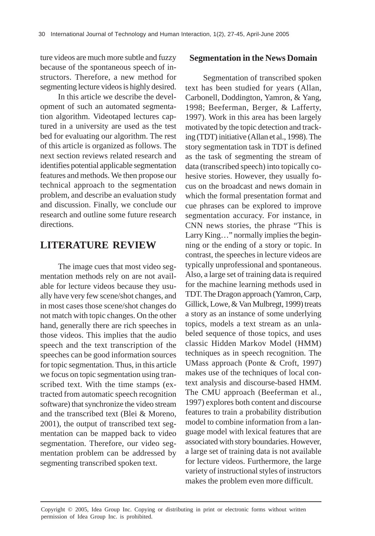ture videos are much more subtle and fuzzy because of the spontaneous speech of instructors. Therefore, a new method for segmenting lecture videos is highly desired.

In this article we describe the development of such an automated segmentation algorithm. Videotaped lectures captured in a university are used as the test bed for evaluating our algorithm. The rest of this article is organized as follows. The next section reviews related research and identifies potential applicable segmentation features and methods. We then propose our technical approach to the segmentation problem, and describe an evaluation study and discussion. Finally, we conclude our research and outline some future research directions.

### **LITERATURE REVIEW**

The image cues that most video segmentation methods rely on are not available for lecture videos because they usually have very few scene/shot changes, and in most cases those scene/shot changes do not match with topic changes. On the other hand, generally there are rich speeches in those videos. This implies that the audio speech and the text transcription of the speeches can be good information sources for topic segmentation. Thus, in this article we focus on topic segmentation using transcribed text. With the time stamps (extracted from automatic speech recognition software) that synchronize the video stream and the transcribed text (Blei & Moreno, 2001), the output of transcribed text segmentation can be mapped back to video segmentation. Therefore, our video segmentation problem can be addressed by segmenting transcribed spoken text.

#### **Segmentation in the News Domain**

Segmentation of transcribed spoken text has been studied for years (Allan, Carbonell, Doddington, Yamron, & Yang, 1998; Beeferman, Berger, & Lafferty, 1997). Work in this area has been largely motivated by the topic detection and tracking (TDT) initiative (Allan et al., 1998). The story segmentation task in TDT is defined as the task of segmenting the stream of data (transcribed speech) into topically cohesive stories. However, they usually focus on the broadcast and news domain in which the formal presentation format and cue phrases can be explored to improve segmentation accuracy. For instance, in CNN news stories, the phrase "This is Larry King…" normally implies the beginning or the ending of a story or topic. In contrast, the speeches in lecture videos are typically unprofessional and spontaneous. Also, a large set of training data is required for the machine learning methods used in TDT. The Dragon approach (Yamron, Carp, Gillick, Lowe, & Van Mulbregt, 1999) treats a story as an instance of some underlying topics, models a text stream as an unlabeled sequence of those topics, and uses classic Hidden Markov Model (HMM) techniques as in speech recognition. The UMass approach (Ponte & Croft, 1997) makes use of the techniques of local context analysis and discourse-based HMM. The CMU approach (Beeferman et al., 1997) explores both content and discourse features to train a probability distribution model to combine information from a language model with lexical features that are associated with story boundaries. However, a large set of training data is not available for lecture videos. Furthermore, the large variety of instructional styles of instructors makes the problem even more difficult.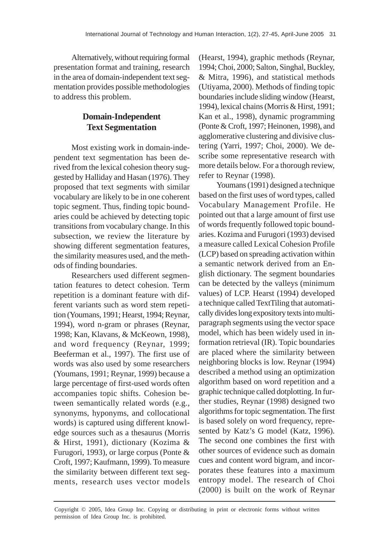Alternatively, without requiring formal presentation format and training, research in the area of domain-independent text segmentation provides possible methodologies to address this problem.

### **Domain-Independent Text Segmentation**

Most existing work in domain-independent text segmentation has been derived from the lexical cohesion theory suggested by Halliday and Hasan (1976). They proposed that text segments with similar vocabulary are likely to be in one coherent topic segment. Thus, finding topic boundaries could be achieved by detecting topic transitions from vocabulary change. In this subsection, we review the literature by showing different segmentation features, the similarity measures used, and the methods of finding boundaries.

Researchers used different segmentation features to detect cohesion. Term repetition is a dominant feature with different variants such as word stem repetition (Youmans, 1991; Hearst, 1994; Reynar, 1994), word n-gram or phrases (Reynar, 1998; Kan, Klavans, & McKeown, 1998), and word frequency (Reynar, 1999; Beeferman et al., 1997). The first use of words was also used by some researchers (Youmans, 1991; Reynar, 1999) because a large percentage of first-used words often accompanies topic shifts. Cohesion between semantically related words (e.g., synonyms, hyponyms, and collocational words) is captured using different knowledge sources such as a thesaurus (Morris & Hirst, 1991), dictionary (Kozima & Furugori, 1993), or large corpus (Ponte & Croft, 1997; Kaufmann, 1999). To measure the similarity between different text segments, research uses vector models

(Hearst, 1994), graphic methods (Reynar, 1994; Choi, 2000; Salton, Singhal, Buckley, & Mitra, 1996), and statistical methods (Utiyama, 2000). Methods of finding topic boundaries include sliding window (Hearst, 1994), lexical chains (Morris & Hirst, 1991; Kan et al., 1998), dynamic programming (Ponte & Croft, 1997; Heinonen, 1998), and agglomerative clustering and divisive clustering (Yarri, 1997; Choi, 2000). We describe some representative research with more details below. For a thorough review, refer to Reynar (1998).

Youmans (1991) designed a technique based on the first uses of word types, called Vocabulary Management Profile. He pointed out that a large amount of first use of words frequently followed topic boundaries. Kozima and Furugori (1993) devised a measure called Lexical Cohesion Profile (LCP) based on spreading activation within a semantic network derived from an English dictionary. The segment boundaries can be detected by the valleys (minimum values) of LCP. Hearst (1994) developed a technique called TextTiling that automatically divides long expository texts into multiparagraph segments using the vector space model, which has been widely used in information retrieval (IR). Topic boundaries are placed where the similarity between neighboring blocks is low. Reynar (1994) described a method using an optimization algorithm based on word repetition and a graphic technique called dotplotting. In further studies, Reynar (1998) designed two algorithms for topic segmentation. The first is based solely on word frequency, represented by Katz's G model (Katz, 1996). The second one combines the first with other sources of evidence such as domain cues and content word bigram, and incorporates these features into a maximum entropy model. The research of Choi (2000) is built on the work of Reynar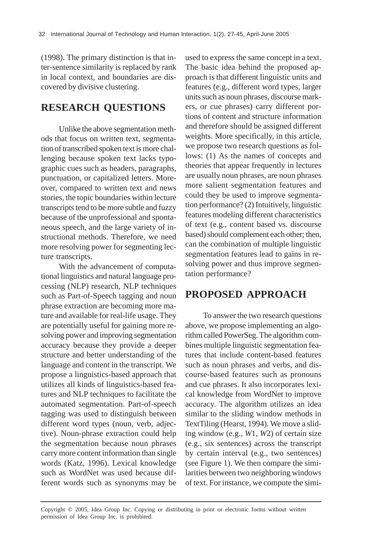(1998). The primary distinction is that inter-sentence similarity is replaced by rank in local context, and boundaries are discovered by divisive clustering.

# **RESEARCH QUESTIONS**

Unlike the above segmentation methods that focus on written text, segmentation of transcribed spoken text is more challenging because spoken text lacks typographic cues such as headers, paragraphs, punctuation, or capitalized letters. Moreover, compared to written text and news stories, the topic boundaries within lecture transcripts tend to be more subtle and fuzzy because of the unprofessional and spontaneous speech, and the large variety of instructional methods. Therefore, we need more resolving power for segmenting lecture transcripts.

With the advancement of computational linguistics and natural language processing (NLP) research, NLP techniques such as Part-of-Speech tagging and noun phrase extraction are becoming more mature and available for real-life usage. They are potentially useful for gaining more resolving power and improving segmentation accuracy because they provide a deeper structure and better understanding of the language and content in the transcript. We propose a linguistics-based approach that utilizes all kinds of linguistics-based features and NLP techniques to facilitate the automated segmentation. Part-of-speech tagging was used to distinguish between different word types (noun, verb, adjective). Noun-phrase extraction could help the segmentation because noun phrases carry more content information than single words (Katz, 1996). Lexical knowledge such as WordNet was used because different words such as synonyms may be

used to express the same concept in a text. The basic idea behind the proposed approach is that different linguistic units and features (e.g., different word types, larger units such as noun phrases, discourse markers, or cue phrases) carry different portions of content and structure information and therefore should be assigned different weights. More specifically, in this article, we propose two research questions as follows: (1) As the names of concepts and theories that appear frequently in lectures are usually noun phrases, are noun phrases more salient segmentation features and could they be used to improve segmentation performance? (2) Intuitively, linguistic features modeling different characteristics of text (e.g., content based vs. discourse based) should complement each other; then, can the combination of multiple linguistic segmentation features lead to gains in resolving power and thus improve segmentation performance?

# **PROPOSED APPROACH**

To answer the two research questions above, we propose implementing an algorithm called PowerSeg. The algorithm combines multiple linguistic segmentation features that include content-based features such as noun phrases and verbs, and discourse-based features such as pronouns and cue phrases. It also incorporates lexical knowledge from WordNet to improve accuracy. The algorithm utilizes an idea similar to the sliding window methods in TextTiling (Hearst, 1994). We move a sliding window (e.g., *W*1, *W*2) of certain size (e.g., six sentences) across the transcript by certain interval (e.g., two sentences) (see Figure 1). We then compare the similarities between two neighboring windows of text. For instance, we compute the simi-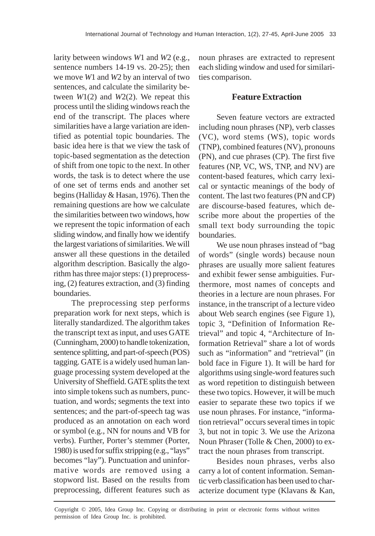larity between windows *W*1 and *W*2 (e.g., sentence numbers 14-19 vs. 20-25); then we move *W*1 and *W*2 by an interval of two sentences, and calculate the similarity between *W*1(2) and *W*2(2). We repeat this process until the sliding windows reach the end of the transcript. The places where similarities have a large variation are identified as potential topic boundaries. The basic idea here is that we view the task of topic-based segmentation as the detection of shift from one topic to the next. In other words, the task is to detect where the use of one set of terms ends and another set begins (Halliday & Hasan, 1976). Then the remaining questions are how we calculate the similarities between two windows, how we represent the topic information of each sliding window, and finally how we identify the largest variations of similarities. We will answer all these questions in the detailed algorithm description. Basically the algorithm has three major steps: (1) preprocessing, (2) features extraction, and (3) finding boundaries.

The preprocessing step performs preparation work for next steps, which is literally standardized. The algorithm takes the transcript text as input, and uses GATE (Cunningham, 2000) to handle tokenization, sentence splitting, and part-of-speech (POS) tagging. GATE is a widely used human language processing system developed at the University of Sheffield. GATE splits the text into simple tokens such as numbers, punctuation, and words; segments the text into sentences; and the part-of-speech tag was produced as an annotation on each word or symbol (e.g., NN for nouns and VB for verbs). Further, Porter's stemmer (Porter, 1980) is used for suffix stripping (e.g., "lays" becomes "lay"). Punctuation and uninformative words are removed using a stopword list. Based on the results from preprocessing, different features such as

noun phrases are extracted to represent each sliding window and used for similarities comparison.

#### **Feature Extraction**

Seven feature vectors are extracted including noun phrases (NP), verb classes (VC), word stems (WS), topic words (TNP), combined features (NV), pronouns (PN), and cue phrases (CP). The first five features (NP, VC, WS, TNP, and NV) are content-based features, which carry lexical or syntactic meanings of the body of content. The last two features (PN and CP) are discourse-based features, which describe more about the properties of the small text body surrounding the topic boundaries.

We use noun phrases instead of "bag of words" (single words) because noun phrases are usually more salient features and exhibit fewer sense ambiguities. Furthermore, most names of concepts and theories in a lecture are noun phrases. For instance, in the transcript of a lecture video about Web search engines (see Figure 1), topic 3, "Definition of Information Retrieval" and topic 4, "Architecture of Information Retrieval" share a lot of words such as "information" and "retrieval" (in bold face in Figure 1). It will be hard for algorithms using single-word features such as word repetition to distinguish between these two topics. However, it will be much easier to separate these two topics if we use noun phrases. For instance, "information retrieval" occurs several times in topic 3, but not in topic 3. We use the Arizona Noun Phraser (Tolle & Chen, 2000) to extract the noun phrases from transcript.

Besides noun phrases, verbs also carry a lot of content information. Semantic verb classification has been used to characterize document type (Klavans & Kan,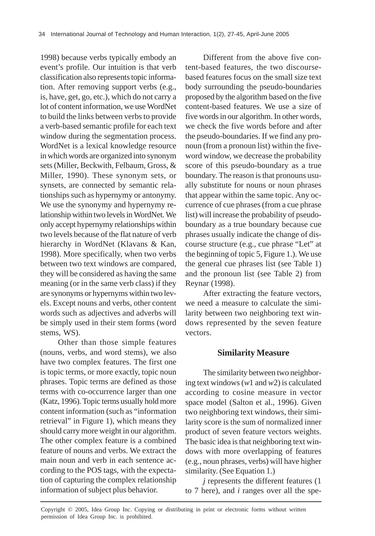1998) because verbs typically embody an event's profile. Our intuition is that verb classification also represents topic information. After removing support verbs (e.g., is, have, get, go, etc.), which do not carry a lot of content information, we use WordNet to build the links between verbs to provide a verb-based semantic profile for each text window during the segmentation process. WordNet is a lexical knowledge resource in which words are organized into synonym sets (Miller, Beckwith, Felbaum, Gross, & Miller, 1990). These synonym sets, or synsets, are connected by semantic relationships such as hypernymy or antonymy. We use the synonymy and hypernymy relationship within two levels in WordNet. We only accept hypernymy relationships within two levels because of the flat nature of verb hierarchy in WordNet (Klavans & Kan, 1998). More specifically, when two verbs between two text windows are compared, they will be considered as having the same meaning (or in the same verb class) if they are synonyms or hypernyms within two levels. Except nouns and verbs, other content words such as adjectives and adverbs will be simply used in their stem forms (word stems, WS).

Other than those simple features (nouns, verbs, and word stems), we also have two complex features. The first one is topic terms, or more exactly, topic noun phrases. Topic terms are defined as those terms with co-occurrence larger than one (Katz, 1996). Topic terms usually hold more content information (such as "information retrieval" in Figure 1), which means they should carry more weight in our algorithm. The other complex feature is a combined feature of nouns and verbs. We extract the main noun and verb in each sentence according to the POS tags, with the expectation of capturing the complex relationship information of subject plus behavior.

Different from the above five content-based features, the two discoursebased features focus on the small size text body surrounding the pseudo-boundaries proposed by the algorithm based on the five content-based features. We use a size of five words in our algorithm. In other words, we check the five words before and after the pseudo-boundaries. If we find any pronoun (from a pronoun list) within the fiveword window, we decrease the probability score of this pseudo-boundary as a true boundary. The reason is that pronouns usually substitute for nouns or noun phrases that appear within the same topic. Any occurrence of cue phrases (from a cue phrase list) will increase the probability of pseudoboundary as a true boundary because cue phrases usually indicate the change of discourse structure (e.g., cue phrase "Let" at the beginning of topic 5, Figure 1.). We use the general cue phrases list (see Table 1) and the pronoun list (see Table 2) from Reynar (1998).

After extracting the feature vectors, we need a measure to calculate the similarity between two neighboring text windows represented by the seven feature vectors.

#### **Similarity Measure**

The similarity between two neighboring text windows (*w*1 and *w*2) is calculated according to cosine measure in vector space model (Salton et al., 1996). Given two neighboring text windows, their similarity score is the sum of normalized inner product of seven feature vectors weights. The basic idea is that neighboring text windows with more overlapping of features (e.g., noun phrases, verbs) will have higher similarity. (See Equation 1.)

*j* represents the different features (1 to 7 here), and *i* ranges over all the spe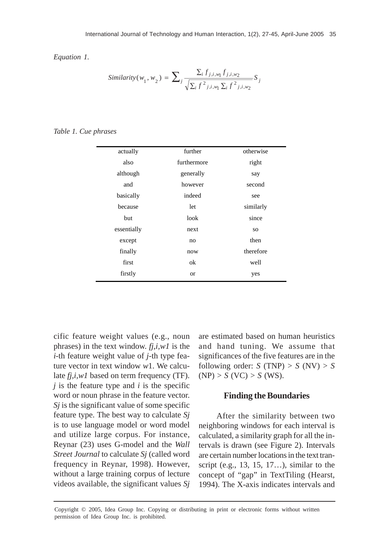*Equation 1.*

$$
Similarity(w_1, w_2) = \sum_{j} \frac{\sum_{i} f_{j,i,w_1} f_{j,i,w_2}}{\sqrt{\sum_{i} f^2_{j,i,w_1} \sum_{i} f^2_{j,i,w_2}}} S_j
$$

*Table 1. Cue phrases*

| actually    | further     | otherwise |  |
|-------------|-------------|-----------|--|
| also        | furthermore | right     |  |
| although    | generally   | say       |  |
| and         | however     | second    |  |
| basically   | indeed      | see       |  |
| because     | let         | similarly |  |
| but         | look        | since     |  |
| essentially | next        | <b>SO</b> |  |
| except      | no          | then      |  |
| finally     | now         | therefore |  |
| first       | ok          | well      |  |
| firstly     | <b>or</b>   | yes       |  |

cific feature weight values (e.g., noun phrases) in the text window. *fj,i,w1* is the *i*-th feature weight value of *j*-th type feature vector in text window *w*1. We calculate *fj,i,w1* based on term frequency (TF). *j* is the feature type and *i* is the specific word or noun phrase in the feature vector. *Sj* is the significant value of some specific feature type. The best way to calculate *Sj* is to use language model or word model and utilize large corpus. For instance, Reynar (23) uses G-model and the *Wall Street Journal* to calculate *Sj* (called word frequency in Reynar, 1998). However, without a large training corpus of lecture videos available, the significant values *Sj*

are estimated based on human heuristics and hand tuning. We assume that significances of the five features are in the following order:  $S(TNP) > S(NV) > S$  $(NP) > S (VC) > S (WS).$ 

#### **Finding the Boundaries**

After the similarity between two neighboring windows for each interval is calculated, a similarity graph for all the intervals is drawn (see Figure 2). Intervals are certain number locations in the text transcript (e.g., 13, 15, 17…), similar to the concept of "gap" in TextTiling (Hearst, 1994). The X-axis indicates intervals and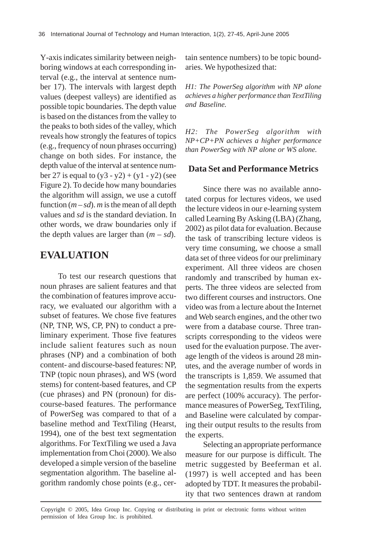Y-axis indicates similarity between neighboring windows at each corresponding interval (e.g., the interval at sentence number 17). The intervals with largest depth values (deepest valleys) are identified as possible topic boundaries. The depth value is based on the distances from the valley to the peaks to both sides of the valley, which reveals how strongly the features of topics (e.g., frequency of noun phrases occurring) change on both sides. For instance, the depth value of the interval at sentence number 27 is equal to  $(y3 - y2) + (y1 - y2)$  (see Figure 2). To decide how many boundaries the algorithm will assign, we use a cutoff function  $(m - sd)$ . *m* is the mean of all depth values and *sd* is the standard deviation. In other words, we draw boundaries only if the depth values are larger than  $(m - sd)$ .

### **EVALUATION**

To test our research questions that noun phrases are salient features and that the combination of features improve accuracy, we evaluated our algorithm with a subset of features. We chose five features (NP, TNP, WS, CP, PN) to conduct a preliminary experiment. Those five features include salient features such as noun phrases (NP) and a combination of both content- and discourse-based features: NP, TNP (topic noun phrases), and WS (word stems) for content-based features, and CP (cue phrases) and PN (pronoun) for discourse-based features. The performance of PowerSeg was compared to that of a baseline method and TextTiling (Hearst, 1994), one of the best text segmentation algorithms. For TextTiling we used a Java implementation from Choi (2000). We also developed a simple version of the baseline segmentation algorithm. The baseline algorithm randomly chose points (e.g., certain sentence numbers) to be topic boundaries. We hypothesized that:

*H1: The PowerSeg algorithm with NP alone achieves a higher performance than TextTiling and Baseline.*

*H2: The PowerSeg algorithm with NP+CP+PN achieves a higher performance than PowerSeg with NP alone or WS alone.*

#### **Data Set and Performance Metrics**

Since there was no available annotated corpus for lectures videos, we used the lecture videos in our e-learning system called Learning By Asking (LBA) (Zhang, 2002) as pilot data for evaluation. Because the task of transcribing lecture videos is very time consuming, we choose a small data set of three videos for our preliminary experiment. All three videos are chosen randomly and transcribed by human experts. The three videos are selected from two different courses and instructors. One video was from a lecture about the Internet and Web search engines, and the other two were from a database course. Three transcripts corresponding to the videos were used for the evaluation purpose. The average length of the videos is around 28 minutes, and the average number of words in the transcripts is 1,859. We assumed that the segmentation results from the experts are perfect (100% accuracy). The performance measures of PowerSeg, TextTiling, and Baseline were calculated by comparing their output results to the results from the experts.

Selecting an appropriate performance measure for our purpose is difficult. The metric suggested by Beeferman et al. (1997) is well accepted and has been adopted by TDT. It measures the probability that two sentences drawn at random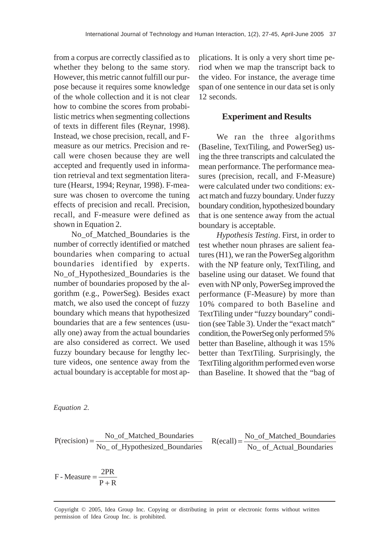from a corpus are correctly classified as to whether they belong to the same story. However, this metric cannot fulfill our purpose because it requires some knowledge of the whole collection and it is not clear how to combine the scores from probabilistic metrics when segmenting collections of texts in different files (Reynar, 1998). Instead, we chose precision, recall, and Fmeasure as our metrics. Precision and recall were chosen because they are well accepted and frequently used in information retrieval and text segmentation literature (Hearst, 1994; Reynar, 1998). F-measure was chosen to overcome the tuning effects of precision and recall. Precision, recall, and F-measure were defined as shown in Equation 2.

No\_of\_Matched\_Boundaries is the number of correctly identified or matched boundaries when comparing to actual boundaries identified by experts. No\_of\_Hypothesized\_Boundaries is the number of boundaries proposed by the algorithm (e.g., PowerSeg). Besides exact match, we also used the concept of fuzzy boundary which means that hypothesized boundaries that are a few sentences (usually one) away from the actual boundaries are also considered as correct. We used fuzzy boundary because for lengthy lecture videos, one sentence away from the actual boundary is acceptable for most applications. It is only a very short time period when we map the transcript back to the video. For instance, the average time span of one sentence in our data set is only 12 seconds.

#### **Experiment and Results**

We ran the three algorithms (Baseline, TextTiling, and PowerSeg) using the three transcripts and calculated the mean performance. The performance measures (precision, recall, and F-Measure) were calculated under two conditions: exact match and fuzzy boundary. Under fuzzy boundary condition, hypothesized boundary that is one sentence away from the actual boundary is acceptable.

*Hypothesis Testing*. First, in order to test whether noun phrases are salient features (H1), we ran the PowerSeg algorithm with the NP feature only, TextTiling, and baseline using our dataset. We found that even with NP only, PowerSeg improved the performance (F-Measure) by more than 10% compared to both Baseline and TextTiling under "fuzzy boundary" condition (see Table 3). Under the "exact match" condition, the PowerSeg only performed 5% better than Baseline, although it was 15% better than TextTiling. Surprisingly, the TextTiling algorithm performed even worse than Baseline. It showed that the "bag of

*Equation 2.*

$$
P(recision) = \frac{No\_of\_Matched\_Boundaries}{No\_of\_Hypothesized\_Boundaries}
$$
 
$$
R(ecall) = \frac{No\_of\_Matched\_Boundaries}{No\_of\_Actual\_Boundaries}
$$

 $P + R$  $F$  - Measure  $=\frac{2PR}{P + R}$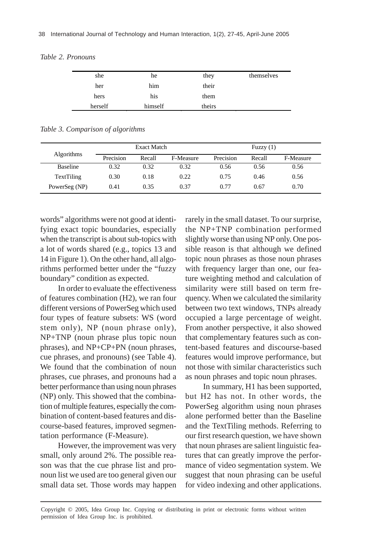| she     | he      | they   | themselves |
|---------|---------|--------|------------|
| her     | him     | their  |            |
| hers    | his     | them   |            |
| herself | himself | theirs |            |

*Table 2. Pronouns*

*Table 3. Comparison of algorithms*

|                   |           | <b>Exact Match</b> |           |           | Fuzzy $(1)$ |           |
|-------------------|-----------|--------------------|-----------|-----------|-------------|-----------|
| <b>Algorithms</b> | Precision | Recall             | F-Measure | Precision | Recall      | F-Measure |
| <b>Baseline</b>   | 0.32      | 0.32               | 0.32      | 0.56      | 0.56        | 0.56      |
| <b>TextTiling</b> | 0.30      | 0.18               | 0.22      | 0.75      | 0.46        | 0.56      |
| PowerSeg (NP)     | 0.41      | 0.35               | 0.37      | 0.77      | 0.67        | 0.70      |

words" algorithms were not good at identifying exact topic boundaries, especially when the transcript is about sub-topics with a lot of words shared (e.g., topics 13 and 14 in Figure 1). On the other hand, all algorithms performed better under the "fuzzy boundary" condition as expected.

In order to evaluate the effectiveness of features combination (H2), we ran four different versions of PowerSeg which used four types of feature subsets: WS (word stem only), NP (noun phrase only), NP+TNP (noun phrase plus topic noun phrases), and NP+CP+PN (noun phrases, cue phrases, and pronouns) (see Table 4). We found that the combination of noun phrases, cue phrases, and pronouns had a better performance than using noun phrases (NP) only. This showed that the combination of multiple features, especially the combination of content-based features and discourse-based features, improved segmentation performance (F-Measure).

However, the improvement was very small, only around 2%. The possible reason was that the cue phrase list and pronoun list we used are too general given our small data set. Those words may happen

rarely in the small dataset. To our surprise, the NP+TNP combination performed slightly worse than using NP only. One possible reason is that although we defined topic noun phrases as those noun phrases with frequency larger than one, our feature weighting method and calculation of similarity were still based on term frequency. When we calculated the similarity between two text windows, TNPs already occupied a large percentage of weight. From another perspective, it also showed that complementary features such as content-based features and discourse-based features would improve performance, but not those with similar characteristics such as noun phrases and topic noun phrases.

In summary, H1 has been supported, but H2 has not. In other words, the PowerSeg algorithm using noun phrases alone performed better than the Baseline and the TextTiling methods. Referring to our first research question, we have shown that noun phrases are salient linguistic features that can greatly improve the performance of video segmentation system. We suggest that noun phrasing can be useful for video indexing and other applications.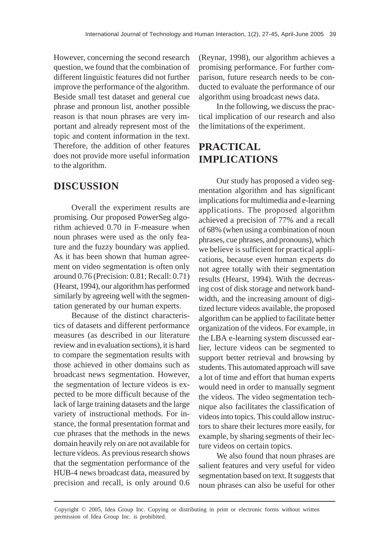However, concerning the second research question, we found that the combination of different linguistic features did not further improve the performance of the algorithm. Beside small test dataset and general cue phrase and pronoun list, another possible reason is that noun phrases are very important and already represent most of the topic and content information in the text. Therefore, the addition of other features does not provide more useful information to the algorithm.

# **DISCUSSION**

Overall the experiment results are promising. Our proposed PowerSeg algorithm achieved 0.70 in F-measure when noun phrases were used as the only feature and the fuzzy boundary was applied. As it has been shown that human agreement on video segmentation is often only around 0.76 (Precision: 0.81; Recall: 0.71) (Hearst, 1994), our algorithm has performed similarly by agreeing well with the segmentation generated by our human experts.

Because of the distinct characteristics of datasets and different performance measures (as described in our literature review and in evaluation sections), it is hard to compare the segmentation results with those achieved in other domains such as broadcast news segmentation. However, the segmentation of lecture videos is expected to be more difficult because of the lack of large training datasets and the large variety of instructional methods. For instance, the formal presentation format and cue phrases that the methods in the news domain heavily rely on are not available for lecture videos. As previous research shows that the segmentation performance of the HUB-4 news broadcast data, measured by precision and recall, is only around 0.6

(Reynar, 1998), our algorithm achieves a promising performance. For further comparison, future research needs to be conducted to evaluate the performance of our algorithm using broadcast news data.

In the following, we discuss the practical implication of our research and also the limitations of the experiment.

# **PRACTICAL IMPLICATIONS**

Our study has proposed a video segmentation algorithm and has significant implications for multimedia and e-learning applications. The proposed algorithm achieved a precision of 77% and a recall of 68% (when using a combination of noun phrases, cue phrases, and pronouns), which we believe is sufficient for practical applications, because even human experts do not agree totally with their segmentation results (Hearst, 1994). With the decreasing cost of disk storage and network bandwidth, and the increasing amount of digitized lecture videos available, the proposed algorithm can be applied to facilitate better organization of the videos. For example, in the LBA e-learning system discussed earlier, lecture videos can be segmented to support better retrieval and browsing by students. This automated approach will save a lot of time and effort that human experts would need in order to manually segment the videos. The video segmentation technique also facilitates the classification of videos into topics. This could allow instructors to share their lectures more easily, for example, by sharing segments of their lecture videos on certain topics.

We also found that noun phrases are salient features and very useful for video segmentation based on text. It suggests that noun phrases can also be useful for other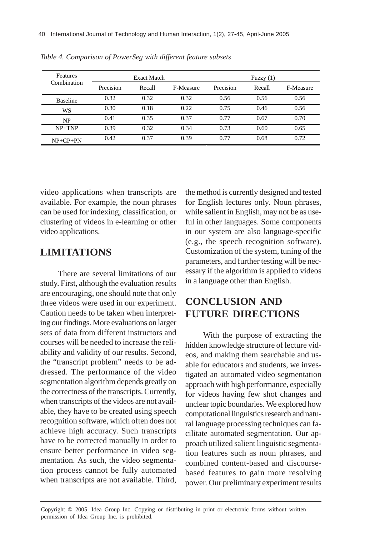| <b>Features</b><br>Combination | <b>Exact Match</b> |        |           | Fuzzy $(1)$ |        |           |
|--------------------------------|--------------------|--------|-----------|-------------|--------|-----------|
|                                | Precision          | Recall | F-Measure | Precision   | Recall | F-Measure |
| <b>Baseline</b>                | 0.32               | 0.32   | 0.32      | 0.56        | 0.56   | 0.56      |
| WS                             | 0.30               | 0.18   | 0.22      | 0.75        | 0.46   | 0.56      |
| <b>NP</b>                      | 0.41               | 0.35   | 0.37      | 0.77        | 0.67   | 0.70      |
| $NP+TNP$                       | 0.39               | 0.32   | 0.34      | 0.73        | 0.60   | 0.65      |
| $NP + CP + PN$                 | 0.42               | 0.37   | 0.39      | 0.77        | 0.68   | 0.72      |

*Table 4. Comparison of PowerSeg with different feature subsets*

video applications when transcripts are available. For example, the noun phrases can be used for indexing, classification, or clustering of videos in e-learning or other video applications.

### **LIMITATIONS**

There are several limitations of our study. First, although the evaluation results are encouraging, one should note that only three videos were used in our experiment. Caution needs to be taken when interpreting our findings. More evaluations on larger sets of data from different instructors and courses will be needed to increase the reliability and validity of our results. Second, the "transcript problem" needs to be addressed. The performance of the video segmentation algorithm depends greatly on the correctness of the transcripts. Currently, when transcripts of the videos are not available, they have to be created using speech recognition software, which often does not achieve high accuracy. Such transcripts have to be corrected manually in order to ensure better performance in video segmentation. As such, the video segmentation process cannot be fully automated when transcripts are not available. Third, the method is currently designed and tested for English lectures only. Noun phrases, while salient in English, may not be as useful in other languages. Some components in our system are also language-specific (e.g., the speech recognition software). Customization of the system, tuning of the parameters, and further testing will be necessary if the algorithm is applied to videos in a language other than English.

# **CONCLUSION AND FUTURE DIRECTIONS**

With the purpose of extracting the hidden knowledge structure of lecture videos, and making them searchable and usable for educators and students, we investigated an automated video segmentation approach with high performance, especially for videos having few shot changes and unclear topic boundaries. We explored how computational linguistics research and natural language processing techniques can facilitate automated segmentation. Our approach utilized salient linguistic segmentation features such as noun phrases, and combined content-based and discoursebased features to gain more resolving power. Our preliminary experiment results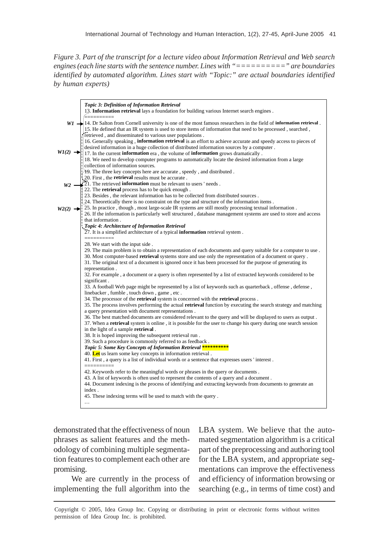*Figure 3. Part of the transcript for a lecture video about Information Retrieval and Web search engines (each line starts with the sentence number. Lines with "==========" are boundaries identified by automated algorithm. Lines start with "Topic:" are actual boundaries identified by human experts)*



demonstrated that the effectiveness of noun phrases as salient features and the methodology of combining multiple segmentation features to complement each other are promising.

We are currently in the process of implementing the full algorithm into the LBA system. We believe that the automated segmentation algorithm is a critical part of the preprocessing and authoring tool for the LBA system, and appropriate segmentations can improve the effectiveness and efficiency of information browsing or searching (e.g., in terms of time cost) and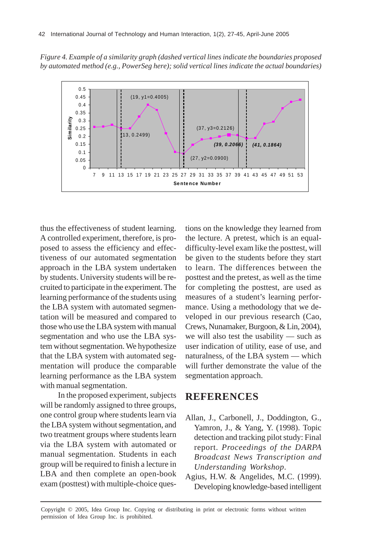*Figure 4. Example of a similarity graph (dashed vertical lines indicate the boundaries proposed by automated method (e.g., PowerSeg here); solid vertical lines indicate the actual boundaries)*



thus the effectiveness of student learning. A controlled experiment, therefore, is proposed to assess the efficiency and effectiveness of our automated segmentation approach in the LBA system undertaken by students. University students will be recruited to participate in the experiment. The learning performance of the students using the LBA system with automated segmentation will be measured and compared to those who use the LBA system with manual segmentation and who use the LBA system without segmentation. We hypothesize that the LBA system with automated segmentation will produce the comparable learning performance as the LBA system with manual segmentation.

In the proposed experiment, subjects will be randomly assigned to three groups, one control group where students learn via the LBA system without segmentation, and two treatment groups where students learn via the LBA system with automated or manual segmentation. Students in each group will be required to finish a lecture in LBA and then complete an open-book exam (posttest) with multiple-choice questions on the knowledge they learned from the lecture. A pretest, which is an equaldifficulty-level exam like the posttest, will be given to the students before they start to learn. The differences between the posttest and the pretest, as well as the time for completing the posttest, are used as measures of a student's learning performance. Using a methodology that we developed in our previous research (Cao, Crews, Nunamaker, Burgoon, & Lin, 2004), we will also test the usability — such as user indication of utility, ease of use, and naturalness, of the LBA system — which will further demonstrate the value of the segmentation approach.

### **REFERENCES**

- Allan, J., Carbonell, J., Doddington, G., Yamron, J., & Yang, Y. (1998). Topic detection and tracking pilot study: Final report. *Proceedings of the DARPA Broadcast News Transcription and Understanding Workshop*.
- Agius, H.W. & Angelides, M.C. (1999). Developing knowledge-based intelligent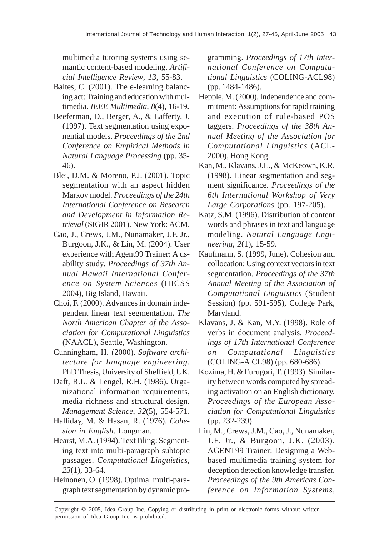multimedia tutoring systems using semantic content-based modeling. *Artificial Intelligence Review*, *13,* 55-83.

- Baltes, C. (2001). The e-learning balancing act: Training and education with multimedia. *IEEE Multimedia*, *8*(4), 16-19.
- Beeferman, D., Berger, A., & Lafferty, J. (1997). Text segmentation using exponential models. *Proceedings of the 2nd Conference on Empirical Methods in Natural Language Processing* (pp. 35- 46).
- Blei, D.M. & Moreno, P.J. (2001). Topic segmentation with an aspect hidden Markov model. *Proceedings of the 24th International Conference on Research and Development in Information Retrieval* (SIGIR 2001). New York: ACM.
- Cao, J., Crews, J.M., Nunamaker, J.F. Jr., Burgoon, J.K., & Lin, M. (2004). User experience with Agent99 Trainer: A usability study. *Proceedings of 37th Annual Hawaii International Conference on System Sciences* (HICSS 2004), Big Island, Hawaii.
- Choi, F. (2000). Advances in domain independent linear text segmentation. *The North American Chapter of the Association for Computational Linguistics* (NAACL), Seattle, Washington.
- Cunningham, H. (2000). *Software architecture for language engineering*. PhD Thesis, University of Sheffield, UK.
- Daft, R.L. & Lengel, R.H. (1986). Organizational information requirements, media richness and structural design. *Management Science*, *32*(5), 554-571.
- Halliday, M. & Hasan, R. (1976). *Cohesion in English*. Longman.
- Hearst, M.A. (1994). TextTiling: Segmenting text into multi-paragraph subtopic passages. *Computational Linguistics*, *23*(1), 33-64.
- Heinonen, O. (1998). Optimal multi-paragraph text segmentation by dynamic pro-

gramming. *Proceedings of 17th International Conference on Computational Linguistics* (COLING-ACL98) (pp. 1484-1486).

- Hepple, M. (2000). Independence and commitment: Assumptions for rapid training and execution of rule-based POS taggers. *Proceedings of the 38th Annual Meeting of the Association for Computational Linguistics* (ACL-2000), Hong Kong.
- Kan, M., Klavans, J.L., & McKeown, K.R. (1998). Linear segmentation and segment significance. *Proceedings of the 6th International Workshop of Very Large Corporations* (pp. 197-205).
- Katz, S.M. (1996). Distribution of content words and phrases in text and language modeling. *Natural Language Engineering*, *2*(1), 15-59.
- Kaufmann, S. (1999, June). Cohesion and collocation: Using context vectors in text segmentation. *Proceedings of the 37th Annual Meeting of the Association of Computational Linguistics* (Student Session) (pp. 591-595), College Park, Maryland.
- Klavans, J. & Kan, M.Y. (1998). Role of verbs in document analysis. *Proceedings of 17th International Conference on Computational Linguistics* (COLING-A CL98) (pp. 680-686).
- Kozima, H. & Furugori, T. (1993). Similarity between words computed by spreading activation on an English dictionary. *Proceedings of the European Association for Computational Linguistics* (pp. 232-239).
- Lin, M., Crews, J.M., Cao, J., Nunamaker, J.F. Jr., & Burgoon, J.K. (2003). AGENT99 Trainer: Designing a Webbased multimedia training system for deception detection knowledge transfer. *Proceedings of the 9th Americas Conference on Information Systems*,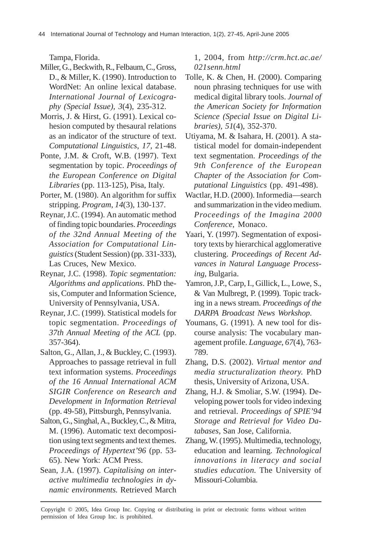Tampa, Florida.

- Miller, G., Beckwith, R., Felbaum, C., Gross, D., & Miller, K. (1990). Introduction to WordNet: An online lexical database. *International Journal of Lexicography (Special Issue), 3*(4), 235-312.
- Morris, J. & Hirst, G. (1991). Lexical cohesion computed by thesaural relations as an indicator of the structure of text. *Computational Linguistics*, *17,* 21-48.
- Ponte, J.M. & Croft, W.B. (1997). Text segmentation by topic. *Proceedings of the European Conference on Digital Libraries* (pp. 113-125), Pisa, Italy.
- Porter, M. (1980). An algorithm for suffix stripping. *Program*, *14*(3), 130-137.
- Reynar, J.C. (1994). An automatic method of finding topic boundaries. *Proceedings of the 32nd Annual Meeting of the Association for Computational Linguistics* (Student Session) (pp. 331-333), Las Cruces, New Mexico.
- Reynar, J.C. (1998). *Topic segmentation: Algorithms and applications*. PhD thesis, Computer and Information Science, University of Pennsylvania, USA.
- Reynar, J.C. (1999). Statistical models for topic segmentation. *Proceedings of 37th Annual Meeting of the ACL* (pp. 357-364).
- Salton, G., Allan, J., & Buckley, C. (1993). Approaches to passage retrieval in full text information systems. *Proceedings of the 16 Annual International ACM SIGIR Conference on Research and Development in Information Retrieval* (pp. 49-58), Pittsburgh, Pennsylvania.
- Salton, G., Singhal, A., Buckley, C., & Mitra, M. (1996). Automatic text decomposition using text segments and text themes. *Proceedings of Hypertext'96* (pp. 53- 65). New York: ACM Press.
- Sean, J.A. (1997). *Capitalising on interactive multimedia technologies in dynamic environments.* Retrieved March

1, 2004, from *http://crm.hct.ac.ae/ 021senn.html*

- Tolle, K. & Chen, H. (2000). Comparing noun phrasing techniques for use with medical digital library tools. *Journal of the American Society for Information Science (Special Issue on Digital Libraries)*, *51*(4), 352-370.
- Utiyama, M. & Isahara, H. (2001). A statistical model for domain-independent text segmentation. *Proceedings of the 9th Conference of the European Chapter of the Association for Computational Linguistics* (pp. 491-498).
- Wactlar, H.D. (2000). Informedia—search and summarization in the video medium. *Proceedings of the Imagina 2000 Conference*, Monaco.
- Yaari, Y. (1997). Segmentation of expository texts by hierarchical agglomerative clustering. *Proceedings of Recent Advances in Natural Language Processing*, Bulgaria.
- Yamron, J.P., Carp, I., Gillick, L., Lowe, S., & Van Mulbregt, P. (1999). Topic tracking in a news stream. *Proceedings of the DARPA Broadcast News Workshop*.
- Youmans, G. (1991). A new tool for discourse analysis: The vocabulary management profile. *Language*, *67*(4), 763- 789.
- Zhang, D.S. (2002). *Virtual mentor and media structuralization theory.* PhD thesis, University of Arizona, USA.
- Zhang, H.J. & Smoliar, S.W. (1994). Developing power tools for video indexing and retrieval. *Proceedings of SPIE'94 Storage and Retrieval for Video Databases*, San Jose, California.
- Zhang, W. (1995). Multimedia, technology, education and learning. *Technological innovations in literacy and social studies education.* The University of Missouri-Columbia.